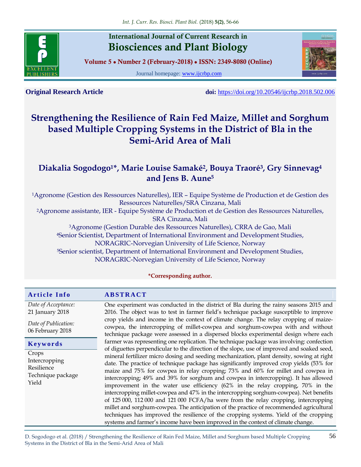

## **International Journal of Current Research in Biosciences and Plant Biology**

**Volume 5 ● Number 2 (February-2018) ● ISSN: 2349-8080 (Online)**

Journal homepage: [www.ijcrbp.com](http://www.ijcrbp.com/)



**Original Research Article doi:** <https://doi.org/10.20546/ijcrbp.2018.502.006>

# **Strengthening the Resilience of Rain Fed Maize, Millet and Sorghum based Multiple Cropping Systems in the District of Bla in the Semi-Arid Area of Mali**

### **Diakalia Sogodogo1\*, Marie Louise Samaké<sup>2</sup> , Bouya Traoré<sup>3</sup> , Gry Sinnevag<sup>4</sup> and Jens B. Aune<sup>5</sup>**

<sup>1</sup>Agronome (Gestion des Ressources Naturelles), IER – Equipe Système de Production et de Gestion des Ressources Naturelles/SRA Cinzana, Mali <sup>2</sup>Agronome assistante, IER - Equipe Système de Production et de Gestion des Ressources Naturelles, SRA Cinzana, Mali <sup>3</sup>Agronome (Gestion Durable des Ressources Naturelles), CRRA de Gao, Mali <sup>4</sup>Senior Scientist, Department of International Environment and Development Studies, NORAGRIC-Norvegian University of Life Science, Norway <sup>5</sup>Senior scientist, Department of International Environment and Development Studies, NORAGRIC-Norvegian University of Life Science, Norway

**\*Corresponding author.**

#### **A r t i c l e I n f o A B S T R A C T** *Date of Acceptance:* 21 January 2018 *Date of Publication:* 06 February 2018 One experiment was conducted in the district of Bla during the rainy seasons 2015 and 2016. The object was to test in farmer field's technique package susceptible to improve crop yields and income in the context of climate change. The relay cropping of maizecowpea, the intercropping of millet-cowpea and sorghum-cowpea with and without technique package were assessed in a dispersed blocks experimental design where each farmer was representing one replication. The technique package was involving: confection of diguettes perpendicular to the direction of the slope, use of improved and soaked seed, mineral fertilizer micro dosing and seeding mechanization, plant density, sowing at right date. The practice of technique package has significantly improved crop yields (53% for maize and 75% for cowpea in relay cropping; 73% and 60% for millet and cowpea in intercropping; 49% and 39% for sorghum and cowpea in intercropping). It has allowed improvement in the water use efficiency (62% in the relay cropping, 70% in the intercropping millet-cowpea and 47% in the intercropping sorghum-cowpea). Net benefits of 125 000, 112 000 and 121 000 FCFA/ha were from the relay cropping, intercropping millet and sorghum-cowpea. The anticipation of the practice of recommended agricultural techniques has improved the resilience of the cropping systems. Yield of the cropping systems and farmer's income have been improved in the context of climate change. **K e y w o r d s** Crops Intercropping Resilience Technique package Yield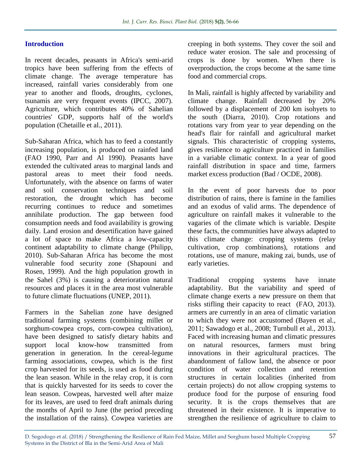#### **Introduction**

In recent decades, peasants in Africa's semi-arid tropics have been suffering from the effects of climate change. The average temperature has increased, rainfall varies considerably from one year to another and floods, droughts, cyclones, tsunamis are very frequent events (IPCC, 2007). Agriculture, which contributes 40% of Sahelian countries' GDP, supports half of the world's population (Chetaille et al., 2011).

Sub-Saharan Africa, which has to feed a constantly increasing population, is produced on rainfed land (FAO 1990, Parr and Al 1990). Peasants have extended the cultivated areas to marginal lands and pastoral areas to meet their food needs. Unfortunately, with the absence on farms of water and soil conservation techniques and soil restoration, the drought which has become recurring continues to reduce and sometimes annihilate production. The gap between food consumption needs and food availability is growing daily. Land erosion and desertification have gained a lot of space to make Africa a low-capacity continent adaptability to climate change (Philipp, 2010). Sub-Saharan Africa has become the most vulnerable food security zone (Shapouni and Rosen, 1999). And the high population growth in the Sahel (3%) is causing a deterioration natural resources and places it in the area most vulnerable to future climate fluctuations (UNEP, 2011).

Farmers in the Sahelian zone have designed traditional farming systems (combining millet or sorghum-cowpea crops, corn-cowpea cultivation), have been designed to satisfy dietary habits and support local know-how transmitted from generation in generation. In the cereal-legume farming associations, cowpea, which is the first crop harvested for its seeds, is used as food during the lean season. While in the relay crop, it is corn that is quickly harvested for its seeds to cover the lean season. Cowpeas, harvested well after maize for its leaves, are used to feed draft animals during the months of April to June (the period preceding the installation of the rains). Cowpea varieties are creeping in both systems. They cover the soil and reduce water erosion. The sale and processing of crops is done by women. When there is overproduction, the crops become at the same time food and commercial crops.

In Mali, rainfall is highly affected by variability and climate change. Rainfall decreased by 20% followed by a displacement of 200 km isohyets to the south (Diarra, 2010). Crop rotations and rotations vary from year to year depending on the head's flair for rainfall and agricultural market signals. This characteristic of cropping systems, gives resilience to agriculture practiced in families in a variable climatic context. In a year of good rainfall distribution in space and time, farmers market excess production (Bad / OCDE, 2008).

In the event of poor harvests due to poor distribution of rains, there is famine in the families and an exodus of valid arms. The dependence of agriculture on rainfall makes it vulnerable to the vagaries of the climate which is variable. Despite these facts, the communities have always adapted to this climate change: cropping systems (relay cultivation, crop combinations), rotations and rotations, use of manure, making zai, bunds, use of early varieties.

Traditional cropping systems have innate adaptability. But the variability and speed of climate change exerts a new pressure on them that risks stifling their capacity to react (FAO, 2013). armers are currently in an area of climatic variation to which they were not accustomed (Bayen et al., 2011; Sawadogo et al., 2008; Turnbull et al., 2013). Faced with increasing human and climatic pressures on natural resources, farmers must bring innovations in their agricultural practices. The abandonment of fallow land, the absence or poor condition of water collection and retention structures in certain localities (inherited from certain projects) do not allow cropping systems to produce food for the purpose of ensuring food security. It is the crops themselves that are threatened in their existence. It is imperative to strengthen the resilience of agriculture to claim to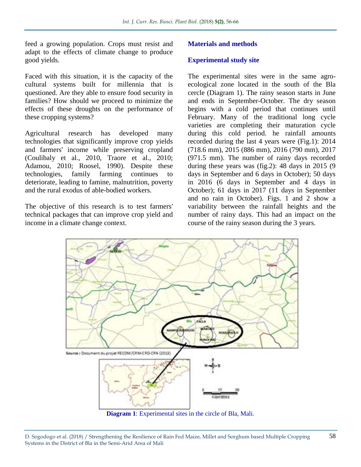feed a growing population. Crops must resist and adapt to the effects of climate change to produce good yields.

Faced with this situation, it is the capacity of the cultural systems built for millennia that is questioned. Are they able to ensure food security in families? How should we proceed to minimize the effects of these droughts on the performance of these cropping systems?

Agricultural research has developed many technologies that significantly improve crop yields and farmers' income while preserving cropland (Coulibaly et al., 2010, Traore et al., 2010; Adamou, 2010; Roosel, 1990). Despite these technologies, family farming continues to deteriorate, leading to famine, malnutrition, poverty and the rural exodus of able-bodied workers.

The objective of this research is to test farmers' technical packages that can improve crop yield and income in a climate change context.

#### **Materials and methods**

#### **Experimental study site**

The experimental sites were in the same agroecological zone located in the south of the Bla cercle (Diagram 1). The rainy season starts in June and ends in September-October. The dry season begins with a cold period that continues until February. Many of the traditional long cycle varieties are completing their maturation cycle during this cold period. he rainfall amounts recorded during the last 4 years were (Fig.1): 2014 (718.6 mm), 2015 (886 mm), 2016 (790 mm), 2017 (971.5 mm). The number of rainy days recorded during these years was (fig.2): 48 days in 2015 (9 days in September and 6 days in October); 50 days in 2016 (6 days in September and 4 days in October); 61 days in 2017 (11 days in September and no rain in October). Figs. 1 and 2 show a variability between the rainfall heights and the number of rainy days. This had an impact on the course of the rainy season during the 3 years.



**Diagram 1**: Experimental sites in the circle of Bla, Mali.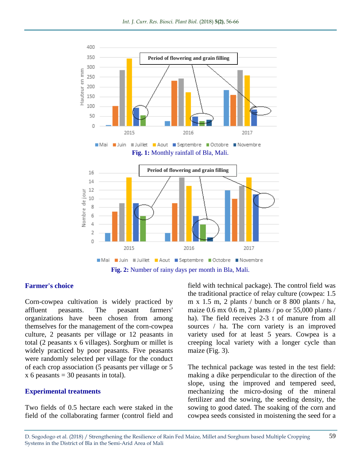

#### **Farmer's choice**

Corn-cowpea cultivation is widely practiced by affluent peasants. The peasant farmers' organizations have been chosen from among themselves for the management of the corn-cowpea culture, 2 peasants per village or 12 peasants in total (2 peasants x 6 villages). Sorghum or millet is widely practiced by poor peasants. Five peasants were randomly selected per village for the conduct of each crop association (5 peasants per village or 5  $x 6$  peasants = 30 peasants in total).

#### **Experimental treatments**

Two fields of 0.5 hectare each were staked in the field of the collaborating farmer (control field and field with technical package). The control field was the traditional practice of relay culture (cowpea: 1.5 m x 1.5 m, 2 plants / bunch or 8 800 plants / ha, maize 0.6 mx 0.6 m, 2 plants / po or 55,000 plants / ha). The field receives 2-3 t of manure from all sources / ha. The corn variety is an improved variety used for at least 5 years. Cowpea is a creeping local variety with a longer cycle than maize (Fig. 3).

The technical package was tested in the test field: making a dike perpendicular to the direction of the slope, using the improved and tempered seed, mechanizing the micro-dosing of the mineral fertilizer and the sowing, the seeding density, the sowing to good dated. The soaking of the corn and cowpea seeds consisted in moistening the seed for a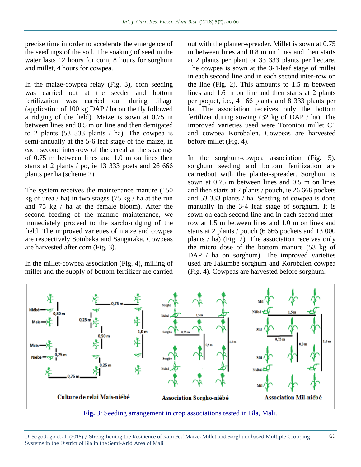precise time in order to accelerate the emergence of the seedlings of the soil. The soaking of seed in the water lasts 12 hours for corn, 8 hours for sorghum and millet, 4 hours for cowpea.

In the maize-cowpea relay (Fig. 3), corn seeding was carried out at the seeder and bottom fertilization was carried out during tillage (application of 100 kg DAP / ha on the fly followed a ridging of the field). Maize is sown at 0.75 m between lines and 0.5 m on line and then demigated to 2 plants (53 333 plants / ha). The cowpea is semi-annually at the 5-6 leaf stage of the maize, in each second inter-row of the cereal at the spacings of 0.75 m between lines and 1.0 m on lines then starts at 2 plants / po, ie 13 333 poets and 26 666 plants per ha (scheme 2).

The system receives the maintenance manure (150 kg of urea / ha) in two stages (75 kg / ha at the run and 75 kg / ha at the female bloom). After the second feeding of the manure maintenance, we immediately proceed to the sarclo-ridging of the field. The improved varieties of maize and cowpea are respectively Sotubaka and Sangaraka. Cowpeas are harvested after corn (Fig. 3).

In the millet-cowpea association (Fig. 4), milling of millet and the supply of bottom fertilizer are carried

out with the planter-spreader. Millet is sown at 0.75 m between lines and 0.8 m on lines and then starts at 2 plants per plant or 33 333 plants per hectare. The cowpea is sown at the 3-4-leaf stage of millet in each second line and in each second inter-row on the line (Fig. 2). This amounts to 1.5 m between lines and 1.6 m on line and then starts at 2 plants per poquet, i.e., 4 166 plants and 8 333 plants per ha. The association receives only the bottom fertilizer during sowing (32 kg of DAP / ha). The improved varieties used were Toroniou millet C1 and cowpea Korobalen. Cowpeas are harvested before millet (Fig. 4).

In the sorghum-cowpea association (Fig. 5), sorghum seeding and bottom fertilization are carriedout with the planter-spreader. Sorghum is sown at 0.75 m between lines and 0.5 m on lines and then starts at 2 plants / pouch, ie 26 666 pockets and 53 333 plants / ha. Seeding of cowpea is done manually in the 3-4 leaf stage of sorghum. It is sown on each second line and in each second interrow at 1.5 m between lines and 1.0 m on lines and starts at 2 plants / pouch (6 666 pockets and 13 000 plants / ha) (Fig. 2). The association receives only the micro dose of the bottom manure (53 kg of DAP / ha on sorghum). The improved varieties used are Jakumbè sorghum and Korobalen cowpea (Fig. 4). Cowpeas are harvested before sorghum.



**Fig.** 3: Seeding arrangement in crop associations tested in Bla, Mali.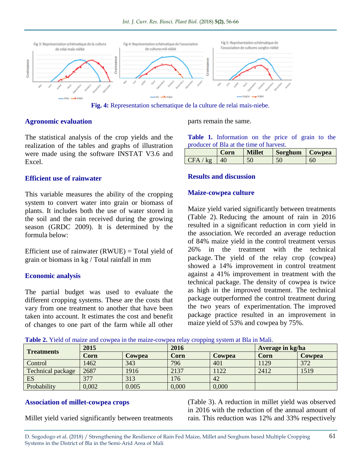

**Fig. 4:** Representation schematique de la culture de relai mais-niebe.

#### **Agronomic evaluation**

The statistical analysis of the crop yields and the realization of the tables and graphs of illustration were made using the software INSTAT V3.6 and Excel.

#### **Efficient use of rainwater**

This variable measures the ability of the cropping system to convert water into grain or biomass of plants. It includes both the use of water stored in the soil and the rain received during the growing season (GRDC 2009). It is determined by the formula below:

Efficient use of rainwater  $(RWUE)$  = Total yield of grain or biomass in kg / Total rainfall in mm

#### **Economic analysis**

The partial budget was used to evaluate the different cropping systems. These are the costs that vary from one treatment to another that have been taken into account. It estimates the cost and benefit of changes to one part of the farm while all other

parts remain the same.

**Table 1.** Information on the price of grain to the producer of Bla at the time of harvest.

|                 | Corn | <b>Millet</b> | Sorghum   Cowpea |    |
|-----------------|------|---------------|------------------|----|
| $CFA / k\sigma$ | 40   | 50            | 50               | 60 |

#### **Results and discussion**

#### **Maize-cowpea culture**

Maize yield varied significantly between treatments (Table 2). Reducing the amount of rain in 2016 resulted in a significant reduction in corn yield in the association. We recorded an average reduction of 84% maize yield in the control treatment versus 26% in the treatment with the technical package. The yield of the relay crop (cowpea) showed a 14% improvement in control treatment against a 41% improvement in treatment with the technical package. The density of cowpea is twice as high in the improved treatment. The technical package outperformed the control treatment during the two years of experimentation. The improved package practice resulted in an improvement in maize yield of 53% and cowpea by 75%.

| <b>Treatments</b>        | 2015  |        | 2016  |        | Average in kg/ha |               |
|--------------------------|-------|--------|-------|--------|------------------|---------------|
|                          | Corn  | Cowpea | Corn  | Cowpea | Corn             | <b>Cowpea</b> |
| Control                  | 1462  | 343    | 796   | 401    | 1129             | 372           |
| <b>Technical package</b> | 2687  | 1916   | 2137  | 1122   | 2412             | 1519          |
| ES                       | 377   | 313    | 176   | 42     |                  |               |
| Probability              | 0,002 | 0.005  | 0,000 | 0,000  |                  |               |

#### **Association of millet-cowpea crops**

Millet yield varied significantly between treatments

(Table 3). A reduction in millet yield was observed in 2016 with the reduction of the annual amount of rain. This reduction was 12% and 33% respectively

D. Sogodogo et al. (2018) / Strengthening the Resilience of Rain Fed Maize, Millet and Sorghum based Multiple Cropping Systems in the District of Bla in the Semi-Arid Area of Mali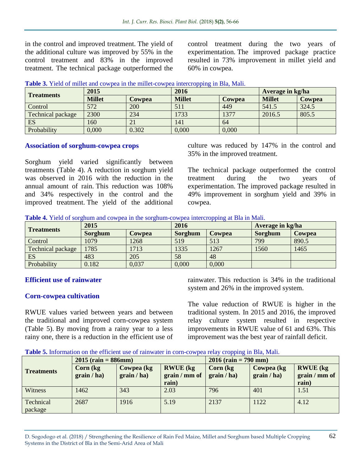in the control and improved treatment. The yield of the additional culture was improved by 55% in the control treatment and 83% in the improved treatment. The technical package outperformed the control treatment during the two years of experimentation. The improved package practice resulted in 73% improvement in millet yield and 60% in cowpea.

|                          |               |               | .             |        |                  |               |
|--------------------------|---------------|---------------|---------------|--------|------------------|---------------|
| <b>Treatments</b>        | 2015          |               | 2016          |        | Average in kg/ha |               |
|                          | <b>Millet</b> | <b>Cowpea</b> | <b>Millet</b> | Cowpea | <b>Millet</b>    | <b>Cowpea</b> |
| Control                  | 572           | 200           | 511           | 449    | 541.5            | 324.5         |
| <b>Technical package</b> | 2300          | 234           | 1733          | 1377   | 2016.5           | 805.5         |
| ES                       | 160           | 21            | 141           | 64     |                  |               |
| Probability              | 0,000         | 0.302         | 0,000         | 0,000  |                  |               |

|  |  | Table 3. Yield of millet and cowpea in the millet-cowpea intercropping in Bla, Mali. |  |  |
|--|--|--------------------------------------------------------------------------------------|--|--|
|  |  |                                                                                      |  |  |

#### **Association of sorghum-cowpea crops**

Sorghum yield varied significantly between treatments (Table 4). A reduction in sorghum yield was observed in 2016 with the reduction in the annual amount of rain. This reduction was 108% and 34% respectively in the control and the improved treatment. The yield of the additional culture was reduced by 147% in the control and 35% in the improved treatment.

The technical package outperformed the control treatment during the two years of experimentation. The improved package resulted in 49% improvement in sorghum yield and 39% in cowpea.

|  | <b>Table 4.</b> Yield of sorghum and cowpea in the sorghum-cowpea intercropping at Bla in Mali. |
|--|-------------------------------------------------------------------------------------------------|

| <b>Treatments</b>        | 2015           |               | 2016    | .             | Average in kg/ha |               |  |
|--------------------------|----------------|---------------|---------|---------------|------------------|---------------|--|
|                          | <b>Sorghum</b> | <b>Cowpea</b> | Sorghum | <b>Cowpea</b> | Sorghum          | <b>Cowpea</b> |  |
| Control                  | 1079           | 1268          | 519     | 513           | 799              | 890.5         |  |
| <b>Technical package</b> | 1785           | 1713          | 1335    | 1267          | 1560             | 1465          |  |
| ES                       | 483            | 205           | 58      | 48            |                  |               |  |
| Probability              | 0.182          | 0,037         | 0,000   | 0,000         |                  |               |  |

#### **Efficient use of rainwater**

#### **Corn-cowpea cultivation**

RWUE values varied between years and between the traditional and improved corn-cowpea system (Table 5). By moving from a rainy year to a less rainy one, there is a reduction in the efficient use of rainwater. This reduction is 34% in the traditional system and 26% in the improved system.

The value reduction of RWUE is higher in the traditional system. In 2015 and 2016, the improved relay culture system resulted in respective improvements in RWUE value of 61 and 63%. This improvement was the best year of rainfall deficit.

**Table 5.** Information on the efficient use of rainwater in corn-cowpea relay cropping in Bla, Mali.

|                      | $2015$ (rain = 886mm)    |                           |                                           | $2016$ (rain = 790 mm)                   |                           |                                           |  |
|----------------------|--------------------------|---------------------------|-------------------------------------------|------------------------------------------|---------------------------|-------------------------------------------|--|
| <b>Treatments</b>    | Corn (kg)<br>grain / ha) | Cowpea (kg<br>grain / ha) | <b>RWUE</b> (kg<br>grain / mm of<br>rain) | $\operatorname{Corn}(kg)$<br>grain / ha) | Cowpea (kg<br>grain / ha) | <b>RWUE</b> (kg<br>grain / mm of<br>rain) |  |
| Witness              | 1462                     | 343                       | 2.03                                      | 796                                      | 401                       | 1.51                                      |  |
| Technical<br>package | 2687                     | 1916                      | 5.19                                      | 2137                                     | 1122                      | 4.12                                      |  |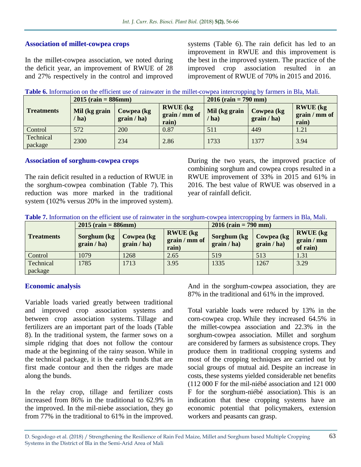#### **Association of millet-cowpea crops**

In the millet-cowpea association, we noted during the deficit year, an improvement of RWUE of 28 and 27% respectively in the control and improved

systems (Table 6). The rain deficit has led to an improvement in RWUE and this improvement is the best in the improved system. The practice of the improved crop association resulted in an improvement of RWUE of 70% in 2015 and 2016.

|  | Table 6. Information on the efficient use of rainwater in the millet-cowpea intercropping by farmers in Bla, Mali. |  |  |  |  |
|--|--------------------------------------------------------------------------------------------------------------------|--|--|--|--|
|  |                                                                                                                    |  |  |  |  |

|                      | $2015$ (rain = 886mm)    |                            |                                           | $2016$ (rain = 790 mm) |                           |                                           |  |
|----------------------|--------------------------|----------------------------|-------------------------------------------|------------------------|---------------------------|-------------------------------------------|--|
| <b>Treatments</b>    | Mil (kg grain<br>$'$ ha) | Cowpea (kg)<br>grain / ha) | <b>RWUE</b> (kg<br>grain / mm of<br>rain) | Mil (kg grain<br>ha)   | Cowpea (kg<br>grain / ha) | <b>RWUE</b> (kg<br>grain / mm of<br>rain) |  |
| Control              | 572                      | 200                        | 0.87                                      | 511                    | 449                       | 1.21                                      |  |
| Technical<br>package | 2300                     | 234                        | 2.86                                      | 1733                   | 1377                      | 3.94                                      |  |

#### **Association of sorghum-cowpea crops**

The rain deficit resulted in a reduction of RWUE in the sorghum-cowpea combination (Table 7). This reduction was more marked in the traditional system (102% versus 20% in the improved system).

During the two years, the improved practice of combining sorghum and cowpea crops resulted in a RWUE improvement of 33% in 2015 and 61% in 2016. The best value of RWUE was observed in a year of rainfall deficit.

| Table 7. Information on the efficient use of rainwater in the sorghum-cowpea intercropping by farmers in Bla, Mali. |  |  |
|---------------------------------------------------------------------------------------------------------------------|--|--|
|---------------------------------------------------------------------------------------------------------------------|--|--|

|                      | $2015$ (rain = 886mm)      |                           |                                           | $2016$ (rain = 790 mm)      |                           |                                           |  |
|----------------------|----------------------------|---------------------------|-------------------------------------------|-----------------------------|---------------------------|-------------------------------------------|--|
| <b>Treatments</b>    | Sorghum (kg<br>grain / ha) | Cowpea (kg<br>grain / ha) | <b>RWUE</b> (kg<br>grain / mm of<br>rain) | Sorghum (kg)<br>grain / ha) | Cowpea (kg<br>grain / ha) | <b>RWUE</b> (kg<br>grain / mm<br>of rain) |  |
| Control              | 1079                       | 1268                      | 2.65                                      | 519                         | 513                       | 1.31                                      |  |
| Technical<br>package | 1785                       | 1713                      | 3.95                                      | 1335                        | 1267                      | 3.29                                      |  |

#### **Economic analysis**

Variable loads varied greatly between traditional and improved crop association systems and between crop association systems. Tillage and fertilizers are an important part of the loads (Table 8). In the traditional system, the farmer sows on a simple ridging that does not follow the contour made at the beginning of the rainy season. While in the technical package, it is the earth bunds that are first made contour and then the ridges are made along the bunds.

In the relay crop, tillage and fertilizer costs increased from 86% in the traditional to 62.9% in the improved. In the mil-niebe association, they go from 77% in the traditional to 61% in the improved. And in the sorghum-cowpea association, they are 87% in the traditional and 61% in the improved.

Total variable loads were reduced by 13% in the corn-cowpea crop. While they increased 64.5% in the millet-cowpea association and 22.3% in the sorghum-cowpea association. Millet and sorghum are considered by farmers as subsistence crops. They produce them in traditional cropping systems and most of the cropping techniques are carried out by social groups of mutual aid. Despite an increase in costs, these systems yielded considerable net benefits (112 000 F for the mil-niébé association and 121 000 F for the sorghum-niébé association). This is an indication that these cropping systems have an economic potential that policymakers, extension workers and peasants can grasp.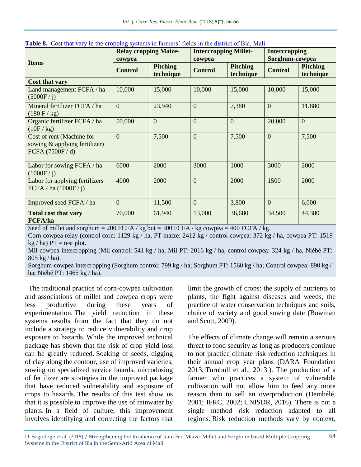| <b>Items</b>                                                                   | <b>Relay cropping Maize-</b><br>cowpea |                              | <b>Intercropping Millet-</b><br>cowpea |                              | <b>Intercropping</b><br>Sorghum-cowpea |                              |
|--------------------------------------------------------------------------------|----------------------------------------|------------------------------|----------------------------------------|------------------------------|----------------------------------------|------------------------------|
|                                                                                | <b>Control</b>                         | <b>Pitching</b><br>technique | <b>Control</b>                         | <b>Pitching</b><br>technique | <b>Control</b>                         | <b>Pitching</b><br>technique |
| Cost that vary                                                                 |                                        |                              |                                        |                              |                                        |                              |
| Land management FCFA / ha<br>(5000F / j)                                       | 10,000                                 | 15,000                       | 10,000                                 | 15,000                       | 10,000                                 | 15,000                       |
| Mineral fertilizer FCFA / ha<br>$(180 \text{ F} / \text{ kg})$                 | $\overline{0}$                         | 23,940                       | $\overline{0}$                         | 7,380                        | $\overline{0}$                         | 11,880                       |
| Organic fertilizer FCFA / ha<br>(10F/kg)                                       | 50,000                                 | $\theta$                     | $\overline{0}$                         | $\overline{0}$               | 20,000                                 | $\overline{0}$               |
| Cost of rent (Machine for<br>sowing & applying fertilizer)<br>FCFA (7500F / d) | $\mathbf{0}$                           | 7,500                        | $\overline{0}$                         | 7,500                        | $\overline{0}$                         | 7,500                        |
| Labor for sowing FCFA / ha<br>(1000F / i)                                      | 6000                                   | 2000                         | 3000                                   | 1000                         | 3000                                   | 2000                         |
| Labor for applying fertilizers<br>FCFA / ha $(1000F/ i)$                       | 4000                                   | 2000                         | $\overline{0}$                         | 2000                         | 1500                                   | 2000                         |
| Improved seed FCFA / ha                                                        | $\mathbf{0}$                           | 11,500                       | $\mathbf{0}$                           | 3,800                        | $\overline{0}$                         | 6,000                        |
| <b>Total cost that vary</b><br><b>FCFA/ha</b>                                  | 70,000                                 | 61,940                       | 13,000                                 | 36,680                       | 34,500                                 | 44,380                       |

**Table 8.** Cost that vary in the cropping systems in farmers' fields in the district of Bla. Mali.

Seed of millet and sorghum = 200 FCFA / kg but = 300 FCFA / kg cowpea = 400 FCFA / kg.

Corn-cowpea relay (control corn: 1129 kg / ha, PT maize: 2412 kg / control cowpea: 372 kg / ha, cowpea PT: 1519  $kg / ha$ )  $PT = test plot$ .

Mil-cowpea intercropping (Mil control: 541 kg / ha, Mil PT: 2016 kg / ha, control cowpea: 324 kg / ha, Niébé PT: 805 kg / ha).

Sorghum-cowpea intercropping (Sorghum control: 799 kg / ha; Sorghum PT: 1560 kg / ha; Control cowpea: 890 kg / ha; Niébé PT: 1465 kg / ha).

The traditional practice of corn-cowpea cultivation and associations of millet and cowpea crops were less productive during these years of experimentation. The yield reduction in these systems results from the fact that they do not include a strategy to reduce vulnerability and crop exposure to hazards. While the improved technical package has shown that the risk of crop yield loss can be greatly reduced. Soaking of seeds, digging of clay along the contour, use of improved varieties, sowing on specialized service boards, microdosing of fertilizer are strategies in the improved package that have reduced vulnerability and exposure of crops to hazards. The results of this test show us that it is possible to improve the use of rainwater by plants. In a field of culture, this improvement involves identifying and correcting the factors that

limit the growth of crops: the supply of nutrients to plants, the fight against diseases and weeds, the practice of water conservation techniques and soils, choice of variety and good sowing date (Bowman and Scott, 2009).

The effects of climate change will remain a serious threat to food security as long as producers continue to not practice climate risk reduction techniques in their annual crop year plans (DARA Foundation 2013, Turnbull et al., 2013 ). The production of a farmer who practices a system of vulnerable cultivation will not allow him to feed any more reason than to sell an overproduction (Dembélé, 2001; IFRC, 2002; UNISDR, 2016). There is not a single method risk reduction adapted to all regions. Risk reduction methods vary by context,

64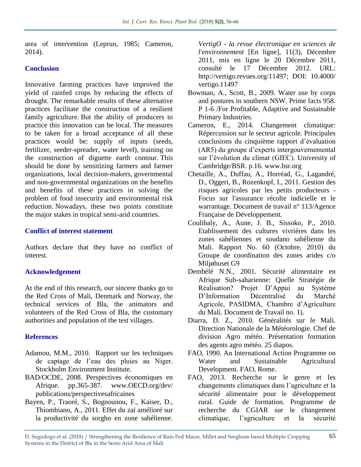area of intervention (Leprun, 1985; Cameron, 2014).

### **Conclusion**

Innovative farming practices have improved the yield of rainfed crops by reducing the effects of drought. The remarkable results of these alternative practices facilitate the construction of a resilient family agriculture. But the ability of producers to practice this innovation can be local. The measures to be taken for a broad acceptance of all these practices would be: supply of inputs (seeds, fertilizer, seeder-spreader, water level), training on the construction of diguette earth contour. This should be done by sensitizing farmers and farmer organizations, local decision-makers, governmental and non-governmental organizations on the benefits and benefits of these practices in solving the problem of food insecurity and environmental risk reduction. Nowadays, these two points constitute the major stakes in tropical semi-arid countries.

#### **Conflict of interest statement**

Authors declare that they have no conflict of interest.

#### **Acknowledgement**

At the end of this research, our sincere thanks go to the Red Cross of Mali, Denmark and Norway, the technical services of Bla, the animators and volunteers of the Red Cross of Bla, the customary authorities and population of the test villages.

#### **References**

- Adamou, M.M., 2010. Rapport sur les techniques de captage de l'eau des pluies au Niger. Stockholm Environment Institute.
- BAD/OCDE, 2008. Perspectives économiques en Afrique. pp.365-387. www.OECD.org/dev/ publications/perspectivesafricaines
- Bayen, P., Traoré, S., Bognounou, F., Kaiser, D., Thiombiano, A., 2011. Effet du zaï amélioré sur la productivité du sorgho en zone sahélienne.

*VertigO - la revue électronique en sciences de l'environnement* [En ligne], 11(3), Décembre 2011, mis en ligne le 20 Décembre 2011, consulté le 17 Décembre 2012. URL: http://vertigo.revues.org/11497; DOI: 10.4000/ vertigo.11497

- Bowman, A., Scott, B., 2009. Water use by corps and postures in southern NSW. Prime facts 958. P 1-6 /For Profitable, Adaptive and Sustainable Primary Industries.
- Cameron, E., 2014. Changement climatique: Répercussion sur le secteur agricole. Principales conclusions du cinquième rapport d'évaluation (AR5) du groupe d'experts intergouvernemental sur l'évolution du climat (GIEC). University of Cambridge/BSR. p.16. www.bsr.org
- Chetaille, A., Duffau, A., Horréad, G., Lagandré, D., Oggeri, B., Rozenkopf, I., 2011. Gestion des risques agricoles par les petits producteurs - Focus sur l'assurance récolte indicielle et le warrantage. Document de travail n° 113/Agence Française de Développement.
- Coulibaly, A., Aune, J. B., Sissoko, P., 2010. Etablissement des cultures vivrières dans les zones sahéliennes et soudano sahélienne du Mali. Rapport No. 60 (Octobre, 2010) du Groupe de coordination des zones arides c/o Miljøhuset G9
- Dembélé N.N., 2001. Sécurité alimentaire en Afrique Sub-saharienne: Quelle Stratégie de Réalisation? Projet D'Appui au Système D'Information Décentralisé du Marché Agricole, PASIDMA, Chambre d'Agriculture du Mali. Document de Travail no. 1).
- Diarra, D. Z., 2010. Généralités sur le Mali. Direction Nationale de la Météorologie. Chef de division Agro météo. Présentation formation des agents agro météo. 25 diapos.
- FAO, 1990. An International Action Programme on Water and Sustainable Agricultural Development. FAO, Rome.
- FAO, 2013. Recherche sur le genre et les changements climatiques dans l'agriculture et la sécurité alimentaire pour le développement rural. Guide de formation. Programme de recherche du CGIAR sur le changement climatique, l'agriculture et la sécurité